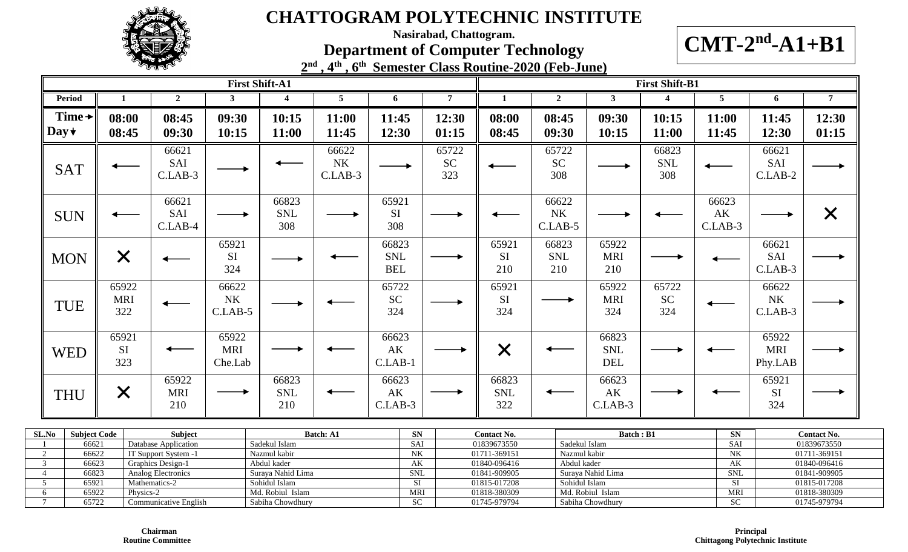

**Nasirabad, Chattogram.**

**Department of Computer Technology**

 $CMT-2<sup>nd</sup>-A1+B1$ 

|                       | $\mathcal{A}^{\text{th}}$<br>$2^{\text{nd}}$ | . 6 <sup>th</sup> Semester Class Routine-2020 (Feb-June) |                       |
|-----------------------|----------------------------------------------|----------------------------------------------------------|-----------------------|
| <b>First Shift-A1</b> |                                              |                                                          | <b>First Shift-B1</b> |

| Period                            |                            | $\overline{2}$             | $\mathbf{3}$                    | $\overline{\mathbf{4}}$    | 5                               | 6                                 | $\overline{7}$            |                            | $\overline{2}$                  | $3^{\circ}$                       | $\overline{\mathbf{4}}$   | 5                        | 6                               | $\overline{7}$ |
|-----------------------------------|----------------------------|----------------------------|---------------------------------|----------------------------|---------------------------------|-----------------------------------|---------------------------|----------------------------|---------------------------------|-----------------------------------|---------------------------|--------------------------|---------------------------------|----------------|
| Time $\rightarrow$<br>Day $\star$ | 08:00<br>08:45             | 08:45<br>09:30             | 09:30<br>10:15                  | 10:15<br>11:00             | 11:00<br>11:45                  | 11:45<br>12:30                    | 12:30<br>01:15            | 08:00<br>08:45             | 08:45<br>09:30                  | 09:30<br>10:15                    | 10:15<br>11:00            | 11:00<br>11:45           | 11:45<br>12:30                  | 12:30<br>01:15 |
| <b>SAT</b>                        |                            | 66621<br>SAI<br>$C.LAB-3$  |                                 |                            | 66622<br><b>NK</b><br>$C.LAB-3$ |                                   | 65722<br><b>SC</b><br>323 |                            | 65722<br><b>SC</b><br>308       |                                   | 66823<br>SNL<br>308       |                          | 66621<br>SAI<br>$C.LAB-2$       |                |
| <b>SUN</b>                        |                            | 66621<br>SAI<br>$C.LAB-4$  |                                 | 66823<br><b>SNL</b><br>308 |                                 | 65921<br><b>SI</b><br>308         |                           |                            | 66622<br>$\rm N K$<br>$C.LAB-5$ |                                   |                           | 66623<br>AK<br>$C.LAB-3$ |                                 | $\times$       |
| <b>MON</b>                        | $\times$                   |                            | 65921<br>SI<br>324              |                            |                                 | 66823<br><b>SNL</b><br><b>BEL</b> |                           | 65921<br><b>SI</b><br>210  | 66823<br><b>SNL</b><br>210      | 65922<br><b>MRI</b><br>210        |                           |                          | 66621<br>SAI<br>$C.LAB-3$       |                |
| <b>TUE</b>                        | 65922<br><b>MRI</b><br>322 |                            | 66622<br>$\rm N K$<br>$C.LAB-5$ |                            |                                 | 65722<br><b>SC</b><br>324         |                           | 65921<br><b>SI</b><br>324  |                                 | 65922<br><b>MRI</b><br>324        | 65722<br><b>SC</b><br>324 |                          | 66622<br>$\rm N K$<br>$C.LAB-3$ |                |
| <b>WED</b>                        | 65921<br>SI<br>323         |                            | 65922<br><b>MRI</b><br>Che.Lab  |                            |                                 | 66623<br>AK<br>$C.LAB-1$          |                           | $\bm{\times}$              |                                 | 66823<br><b>SNL</b><br><b>DEL</b> |                           |                          | 65922<br><b>MRI</b><br>Phy.LAB  |                |
| <b>THU</b>                        | $\bm{\times}$              | 65922<br><b>MRI</b><br>210 |                                 | 66823<br><b>SNL</b><br>210 |                                 | 66623<br>AK<br>$C.LAB-3$          |                           | 66823<br><b>SNL</b><br>322 |                                 | 66623<br>AK<br>$C.LAB-3$          |                           |                          | 65921<br>SI<br>324              |                |

| SL.No | <b>Subject Code</b> | <b>Subject</b>           | <b>Batch: A1</b>  | <b>SN</b>  | <b>Contact No.</b> | <b>Batch</b> : B1 | <b>SN</b>  | <b>Contact No.</b> |
|-------|---------------------|--------------------------|-------------------|------------|--------------------|-------------------|------------|--------------------|
|       | 66621               | Database Application     | Sadekul Islam     | SAI        | 01839673550        | Sadekul Islam     | SAI        | 01839673550        |
|       | 66622               | T Support System -1      | Nazmul kabir      | NK         | 01711-369151       | Nazmul kabir      | NK         | 01711-369151       |
|       | 66623               | <b>Graphics Design-1</b> | Abdul kader       | AK         | 01840-096416       | Abdul kader       | AK         | 01840-096416       |
|       | 66823               | Analog Electronics       | Suraya Nahid Lima | <b>SNL</b> | 01841-909905       | Suraya Nahid Lima | <b>SNL</b> | 01841-909905       |
|       | 65921               | Mathematics-2            | Sohidul Islam     |            | 01815-017208       | Sohidul Islam     | ЭI         | 01815-017208       |
|       | 65922               | Physics-2                | Md. Robiul Islam  | <b>MRI</b> | 01818-380309       | Md. Robiul Islam  | <b>MR</b>  | 01818-380309       |
|       | 65722               | Communicative English    | Sabiha Chowdhury  | <b>SC</b>  | 01745-979794       | Sabiha Chowdhury  | <b>SC</b>  | 01745-979794       |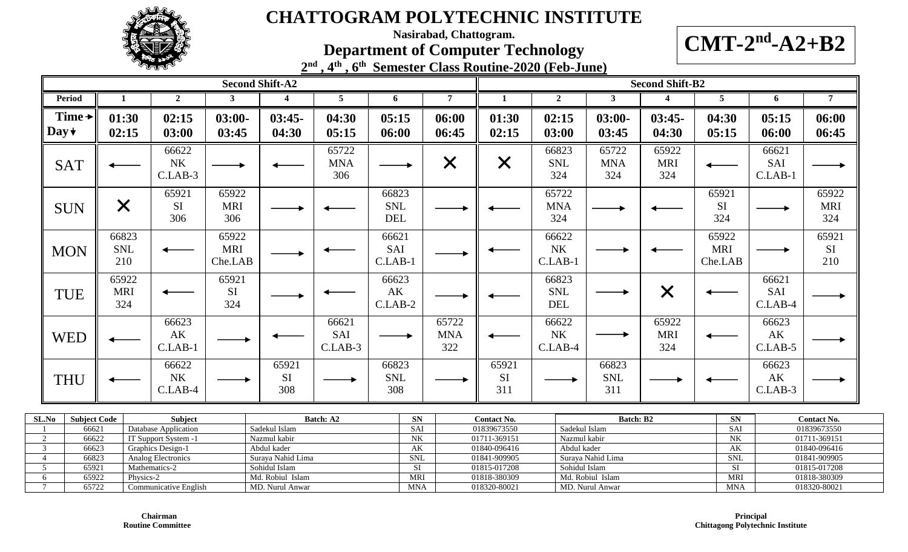

**Nasirabad, Chattogram.**

**Department of Computer Technology**



**2 nd , 4th , 6th Semester Class Routine-2020 (Feb-June)**

|                                                                    |                                                                                                                                                                                                                                                 |                                 |                                | <b>Second Shift-A2</b> |                            |                                              |                                     |                            |                                                                            |                                        |                                              |                                       | <b>Second Shift-B2</b>     |                                      |                                              |                                                                            |
|--------------------------------------------------------------------|-------------------------------------------------------------------------------------------------------------------------------------------------------------------------------------------------------------------------------------------------|---------------------------------|--------------------------------|------------------------|----------------------------|----------------------------------------------|-------------------------------------|----------------------------|----------------------------------------------------------------------------|----------------------------------------|----------------------------------------------|---------------------------------------|----------------------------|--------------------------------------|----------------------------------------------|----------------------------------------------------------------------------|
| <b>Period</b>                                                      |                                                                                                                                                                                                                                                 | 2 <sub>1</sub>                  | $\mathbf{3}$                   | $\boldsymbol{4}$       | 5 <sup>5</sup>             | 6                                            |                                     | $\overline{7}$             | 1                                                                          | $\overline{2}$                         |                                              | $\mathbf{3}$                          | $\overline{\mathbf{4}}$    | 5 <sup>1</sup>                       | 6                                            | 7 <sup>7</sup>                                                             |
| Time $\rightarrow$<br>Day $\star$                                  | 01:30<br>02:15                                                                                                                                                                                                                                  | 02:15<br>03:00                  | $03:00-$<br>03:45              | $03:45-$<br>04:30      | 04:30<br>05:15             | 05:15<br>06:00                               |                                     | 06:00<br>06:45             | 01:30<br>02:15                                                             | 02:15<br>03:00                         |                                              | $03:00-$<br>03:45                     | $03:45-$<br>04:30          | 04:30<br>05:15                       | 05:15<br>06:00                               | 06:00<br>06:45                                                             |
| <b>SAT</b>                                                         |                                                                                                                                                                                                                                                 | 66622<br>$\rm N K$<br>C.LAB-3   |                                |                        | 65722<br><b>MNA</b><br>306 |                                              |                                     | $\times$                   | $\times$                                                                   | 66823<br>SNL<br>324                    |                                              | 65722<br><b>MNA</b><br>324            | 65922<br><b>MRI</b><br>324 |                                      | 66621<br>SAI<br>$C.LAB-1$                    |                                                                            |
| <b>SUN</b>                                                         | X                                                                                                                                                                                                                                               | 65921<br><b>SI</b><br>306       | 65922<br><b>MRI</b><br>306     |                        |                            | 66823<br><b>SNL</b><br>DEL                   |                                     |                            |                                                                            | 65722<br><b>MNA</b><br>324             |                                              |                                       |                            | 65921<br>$\rm SI$<br>324             |                                              | 65922<br><b>MRI</b><br>324                                                 |
| <b>MON</b>                                                         | 66823<br><b>SNL</b><br>210                                                                                                                                                                                                                      |                                 | 65922<br><b>MRI</b><br>Che.LAB |                        |                            | 66621<br>SAI<br>$C.LAB-1$                    |                                     |                            |                                                                            | 66622<br>NK<br>$C.LAB-1$               |                                              |                                       |                            | 65922<br><b>MRI</b><br>Che.LAB       |                                              | 65921<br>SI<br>210                                                         |
| <b>TUE</b>                                                         | 65922<br><b>MRI</b><br>324                                                                                                                                                                                                                      |                                 | 65921<br>SI<br>324             |                        |                            | 66623<br>$\mathbf{A}\mathbf{K}$<br>$C.LAB-2$ |                                     |                            |                                                                            | 66823<br>SNL<br>DEL                    |                                              |                                       | $\times$                   |                                      | 66621<br>SAI<br>$C.LAB-4$                    |                                                                            |
| <b>WED</b>                                                         |                                                                                                                                                                                                                                                 | 66623<br>AK<br>$C.LAB-1$        |                                |                        | 66621<br>SAI<br>$C.LAB-3$  |                                              |                                     | 65722<br><b>MNA</b><br>322 |                                                                            | 66622<br>${\rm N}{\rm K}$<br>$C.LAB-4$ |                                              |                                       | 65922<br><b>MRI</b><br>324 |                                      | 66623<br>AK<br>$C.LAB-5$                     |                                                                            |
| <b>THU</b>                                                         |                                                                                                                                                                                                                                                 | 66622<br><b>NK</b><br>$C.LAB-4$ |                                | 65921<br>SI<br>308     |                            | 66823<br><b>SNL</b><br>308                   |                                     |                            | 65921<br>SI<br>311                                                         |                                        |                                              | 66823<br><b>SNL</b><br>311            |                            |                                      | 66623<br>$\mathbf{A}\mathbf{K}$<br>$C.LAB-3$ |                                                                            |
| <b>SL.No</b><br>$\overline{2}$<br>$\overline{3}$<br>$\overline{4}$ | <b>Subject Code</b><br>Subject<br>Batch: A2<br>Sadekul Islam<br>Database Application<br>66621<br>66622<br>IT Support System -1<br>Nazmul kabir<br>66623<br>Graphics Design-1<br>Abdul kader<br>66823<br>Analog Electronics<br>Suraya Nahid Lima |                                 |                                |                        |                            |                                              | <b>SN</b><br>SAI<br>NK<br>AK<br>SNL |                            | Contact No.<br>01839673550<br>01711-369151<br>01840-096416<br>01841-909905 |                                        | Sadekul Islam<br>Nazmul kabir<br>Abdul kader | <b>Batch: B2</b><br>Suraya Nahid Lima |                            | ${\bf SN}$<br>SAI<br>NK<br>AK<br>SNL |                                              | Contact No.<br>01839673550<br>01711-369151<br>01840-096416<br>01841-909905 |

5 65921 | Mathematics-2 Sohidul Islam | SI | 01815-017208 | Sohidul Islam | SI | 01815-017208 6 65922 Physics-2 Md. Robiul Islam MRI 01818-380309 Md. Robiul Islam MRI 01818-380309 Md. Robiul Islam MRI 01818-380309 7 65722 Communicative English MD. Nurul Anwar MMA 018320-80021 MD. Nurul Anwar MD. Nurul Anwar MNA 018320-80021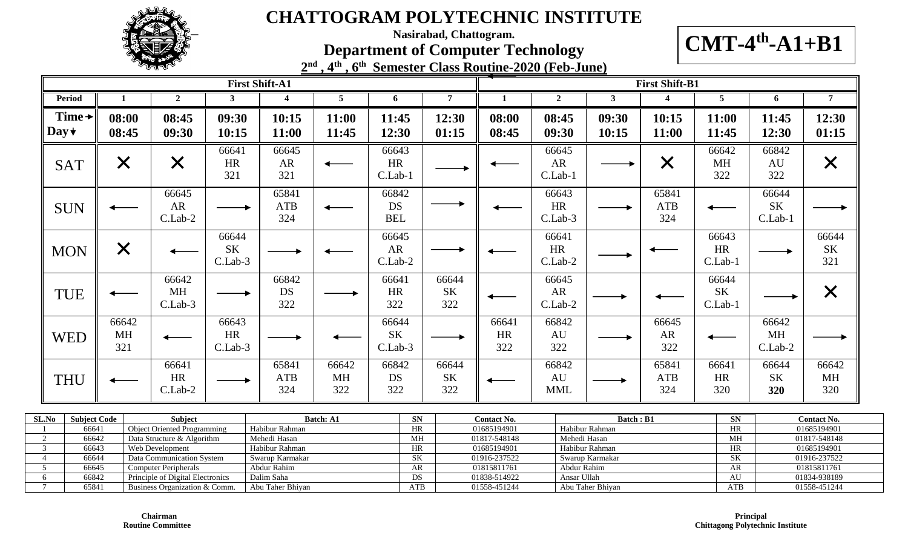

**Nasirabad, Chattogram.**

**Department of Computer Technology**

**CMT-4 th -A1+B1**

|  | $2nd$ , $4th$ , $6th$ Semester Class Routine-2020 (Feb-June) |  |  |  |
|--|--------------------------------------------------------------|--|--|--|

|                                                                         |                                                                                                                                                                              |                                                                             |                               | <b>First Shift-A1</b>          |                           |                                  |                                                                                                                                      |                                            |                                  |                                                    | <b>First Shift-B1</b>      |                                            |                               |                                            |
|-------------------------------------------------------------------------|------------------------------------------------------------------------------------------------------------------------------------------------------------------------------|-----------------------------------------------------------------------------|-------------------------------|--------------------------------|---------------------------|----------------------------------|--------------------------------------------------------------------------------------------------------------------------------------|--------------------------------------------|----------------------------------|----------------------------------------------------|----------------------------|--------------------------------------------|-------------------------------|--------------------------------------------|
| <b>Period</b>                                                           | 1                                                                                                                                                                            | 2 <sup>1</sup>                                                              | 3 <sup>1</sup>                | $\overline{\mathbf{4}}$        | $5\overline{)}$           | 6                                | $\overline{7}$                                                                                                                       | 1                                          | 2 <sub>1</sub>                   | $\mathbf{3}$                                       | $\overline{\mathbf{4}}$    | $5\overline{)}$                            | 6                             | 7 <sup>7</sup>                             |
| Time $\rightarrow$<br>$\mathbf{Day} \star$                              | 08:00<br>08:45                                                                                                                                                               | 08:45<br>09:30                                                              | 09:30<br>10:15                | 10:15<br>11:00                 | 11:00<br>11:45            | 11:45<br>12:30                   | 12:30<br>01:15                                                                                                                       | 08:00<br>08:45                             | 08:45<br>09:30                   | 09:30<br>10:15                                     | 10:15<br>11:00             | 11:00<br>11:45                             | 11:45<br>12:30                | 12:30<br>01:15                             |
| <b>SAT</b>                                                              | $\times$                                                                                                                                                                     | $\times$                                                                    | 66641<br><b>HR</b><br>321     | 66645<br><b>AR</b><br>321      |                           | 66643<br><b>HR</b><br>C.Lab-1    |                                                                                                                                      |                                            | 66645<br><b>AR</b><br>C.Lab-1    |                                                    | $\bm{\times}$              | 66642<br><b>MH</b><br>322                  | 66842<br>AU<br>322            | $\times$                                   |
| <b>SUN</b>                                                              |                                                                                                                                                                              | 66645<br>AR<br>C.Lab-2                                                      |                               | 65841<br><b>ATB</b><br>324     |                           | 66842<br><b>DS</b><br><b>BEL</b> |                                                                                                                                      |                                            | 66643<br>$\rm{HR}$<br>C.Lab-3    |                                                    | 65841<br><b>ATB</b><br>324 |                                            | 66644<br><b>SK</b><br>C.Lab-1 |                                            |
| <b>MON</b>                                                              | $\times$                                                                                                                                                                     |                                                                             | 66644<br>SK<br>C.Lab-3        |                                |                           | 66645<br>AR<br>C.Lab-2           |                                                                                                                                      |                                            | 66641<br>HR<br>C.Lab-2           |                                                    |                            | 66643<br><b>HR</b><br>C.Lab-1              |                               | 66644<br>$\rm SK$<br>321                   |
| TUE                                                                     |                                                                                                                                                                              | 66642<br>MH<br>C.Lab-3                                                      |                               | 66842<br>DS<br>322             |                           | 66641<br><b>HR</b><br>322        | 66644<br><b>SK</b><br>322                                                                                                            |                                            | 66645<br>${\sf AR}$<br>$C.Lab-2$ |                                                    |                            | 66644<br><b>SK</b><br>C.Lab-1              |                               | $\times$                                   |
| <b>WED</b>                                                              | 66642<br>MH<br>321                                                                                                                                                           |                                                                             | 66643<br><b>HR</b><br>C.Lab-3 |                                |                           | 66644<br><b>SK</b><br>C.Lab-3    |                                                                                                                                      | 66641<br>HR<br>322                         | 66842<br>AU<br>322               |                                                    | 66645<br>AR<br>322         |                                            | 66642<br><b>MH</b><br>C.Lab-2 |                                            |
| <b>THU</b>                                                              |                                                                                                                                                                              | 66641<br>HR<br>C.Lab-2                                                      |                               | 65841<br><b>ATB</b><br>324     | 66642<br><b>MH</b><br>322 | 66842<br>DS<br>322               | 66644<br><b>SK</b><br>322                                                                                                            |                                            | 66842<br>AU<br><b>MML</b>        |                                                    | 65841<br><b>ATB</b><br>324 | 66641<br>HR<br>320                         | 66644<br><b>SK</b><br>320     | 66642<br><b>MH</b><br>320                  |
| <b>SL.No</b><br><b>Subject Code</b><br>66641<br>$\overline{2}$<br>66642 |                                                                                                                                                                              | Subject<br><b>Object Oriented Programming</b><br>Data Structure & Algorithm |                               | Habibur Rahman<br>Mehedi Hasan | <b>Batch: A1</b>          | ${\bf SN}$<br>HR<br>MH           |                                                                                                                                      | Contact No.<br>01685194901<br>01817-548148 |                                  | <b>Batch: B1</b><br>Habibur Rahman<br>Mehedi Hasan |                            | SN<br>HR<br>MH                             |                               | Contact No.<br>01685194901<br>01817-548148 |
| $\overline{3}$<br>$\overline{4}$<br>5 <sup>5</sup>                      | HR<br>66643<br>Web Development<br>Habibur Rahman<br>66644<br>SK<br>Data Communication System<br>Swarup Karmakar<br>66645<br>Abdur Rahim<br>AR<br><b>Computer Peripherals</b> |                                                                             |                               |                                |                           |                                  | 01685194901<br>Habibur Rahman<br>HR<br>$\overline{\text{SK}}$<br>01916-237522<br>Swarup Karmakar<br>AR<br>01815811761<br>Abdur Rahim |                                            |                                  |                                                    |                            | 01685194901<br>01916-237522<br>01815811761 |                               |                                            |

5 66645 Computer Peripherals Abdur Rahim AR AR 01815811761 Abdur Rahim Abdur Rahim ABC ABC 1815811761 AR 01815811761 6 66842 Principle of Digital Electronics Dalim Saha DS 01838-514922 Ansar Ullah AU 01834-938189

7 65841 Business Organization & Comm. Abu Taher Bhiyan ATB 01558-451244 Abu Taher Bhiyan ATB 01558-451244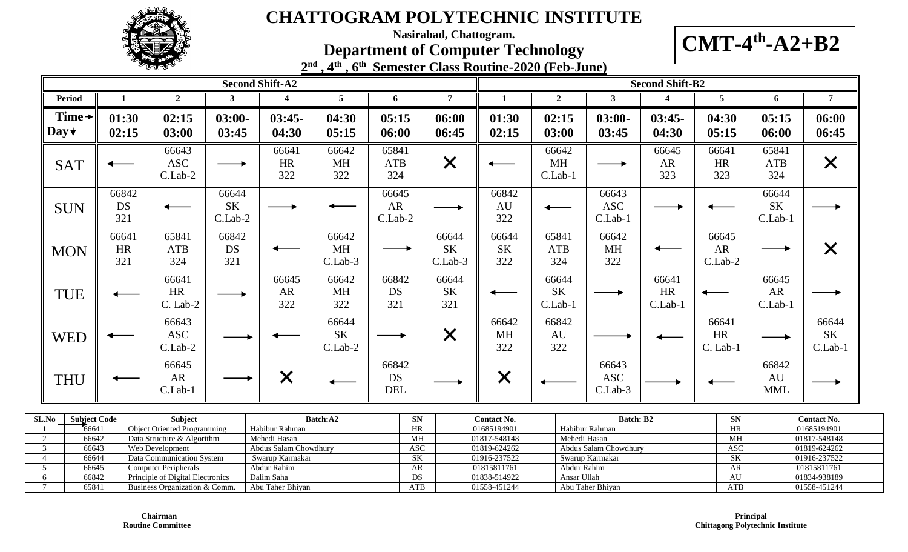

**Nasirabad, Chattogram.**

#### **Department of Computer Technology**



**2 nd , 4th , 6th Semester Class Routine-2020 (Feb-June)**

|                       |                    |                                  |                                 | <b>Second Shift-A2</b>    |                                |                           |                                 |                           |                               |                                | <b>Second Shift-B2</b>          |                                |                                |                              |
|-----------------------|--------------------|----------------------------------|---------------------------------|---------------------------|--------------------------------|---------------------------|---------------------------------|---------------------------|-------------------------------|--------------------------------|---------------------------------|--------------------------------|--------------------------------|------------------------------|
| Period                |                    | $\overline{2}$                   | $\mathbf{3}$                    | 4                         | 5                              | 6                         | $\overline{7}$                  | $\mathbf{1}$              | $\overline{2}$                | $\mathbf{3}$                   | 4                               | 5                              | 6                              | $\overline{7}$               |
| Time +<br>Day $\star$ | 01:30<br>02:15     | 02:15<br>03:00                   | $03:00-$<br>03:45               | $03:45-$<br>04:30         | 04:30<br>05:15                 | 05:15<br>06:00            | 06:00<br>06:45                  | 01:30<br>02:15            | 02:15<br>03:00                | $03:00-$<br>03:45              | $03:45-$<br>04:30               | 04:30<br>05:15                 | 05:15<br>06:00                 | 06:00<br>06:45               |
| <b>SAT</b>            |                    | 66643<br><b>ASC</b><br>$C.Lab-2$ |                                 | 66641<br>HR<br>322        | 66642<br>MH<br>322             | 65841<br>ATB<br>324       | $\times$                        |                           | 66642<br>MH<br>C.Lab-1        | $\longrightarrow$              | 66645<br>AR<br>323              | 66641<br><b>HR</b><br>323      | 65841<br>ATB<br>324            | $\times$                     |
| <b>SUN</b>            | 66842<br>DS<br>321 |                                  | 66644<br><b>SK</b><br>$C.Lab-2$ |                           |                                | 66645<br>AR<br>$C.Lab-2$  |                                 | 66842<br>AU<br>322        |                               | 66643<br><b>ASC</b><br>C.Lab-1 |                                 |                                | 66644<br>$\rm SK$<br>$C.Lab-1$ |                              |
| <b>MON</b>            | 66641<br>HR<br>321 | 65841<br><b>ATB</b><br>324       | 66842<br>DS<br>321              |                           | 66642<br>MH<br>C.Lab-3         |                           | 66644<br><b>SK</b><br>$C.Lab-3$ | 66644<br><b>SK</b><br>322 | 65841<br>ATB<br>324           | 66642<br>MH<br>322             |                                 | 66645<br>AR<br>C.Lab-2         |                                | X                            |
| TUE                   |                    | 66641<br>HR<br>$C.$ Lab-2        |                                 | 66645<br><b>AR</b><br>322 | 66642<br>MH<br>322             | 66842<br>DS<br>321        | 66644<br><b>SK</b><br>321       |                           | 66644<br><b>SK</b><br>C.Lab-1 |                                | 66641<br><b>HR</b><br>$C.Lab-1$ |                                | 66645<br>AR<br>$C.Lab-1$       |                              |
| <b>WED</b>            |                    | 66643<br><b>ASC</b><br>$C.Lab-2$ |                                 |                           | 66644<br>$\rm SK$<br>$C.Lab-2$ |                           | $\bm{\times}$                   | 66642<br><b>MH</b><br>322 | 66842<br>AU<br>322            |                                |                                 | 66641<br><b>HR</b><br>C. Lab-1 |                                | 66644<br>$\rm SK$<br>C.Lab-1 |
| <b>THU</b>            |                    | 66645<br><b>AR</b><br>C.Lab-1    |                                 | $\bm{\times}$             |                                | 66842<br>DS<br><b>DEL</b> |                                 | $\times$                  |                               | 66643<br><b>ASC</b><br>C.Lab-3 |                                 |                                | 66842<br>AU<br><b>MML</b>      |                              |

| SLNo | <b>Subject Code</b> | Subiect                          | Batch: A2             | <b>SN</b>  | <b>Contact No.</b> | <b>Batch: B2</b>      | <b>SN</b>  | <b>Contact No.</b> |
|------|---------------------|----------------------------------|-----------------------|------------|--------------------|-----------------------|------------|--------------------|
|      | 6664                | Object Oriented Programming      | Habibur Rahman        | <b>HR</b>  | 01685194901        | Habibur Rahman        | <b>HR</b>  | 01685194901        |
|      | 66642               | Data Structure & Algorithm       | Mehedi Hasan          | MH         | 01817-548148       | Mehedi Hasan          | MH         | 01817-548148       |
|      | 66643               | Web Development                  | Abdus Salam Chowdhury | <b>ASC</b> | 01819-624262       | Abdus Salam Chowdhury | <b>ASC</b> | 01819-624262       |
|      | 66644               | Data Communication System        | Swarup Karmakar       | <b>SK</b>  | 01916-237522       | Swarup Karmakar       | <b>SK</b>  | 01916-237522       |
|      | 66645               | <b>Computer Peripherals</b>      | Abdur Rahim           | AR         | 01815811761        | Abdur Rahim           | AR         | 01815811761        |
|      | 66842               | Principle of Digital Electronics | Dalim Saha            | DS.        | 01838-514922       | Ansar Ullah           | AU         | 01834-938189       |
|      | 6584                | Business Organization & Comm.    | Abu Taher Bhiyan      | <b>ATB</b> | 01558-451244       | Abu Taher Bhivan      | ATB        | 01558-451244       |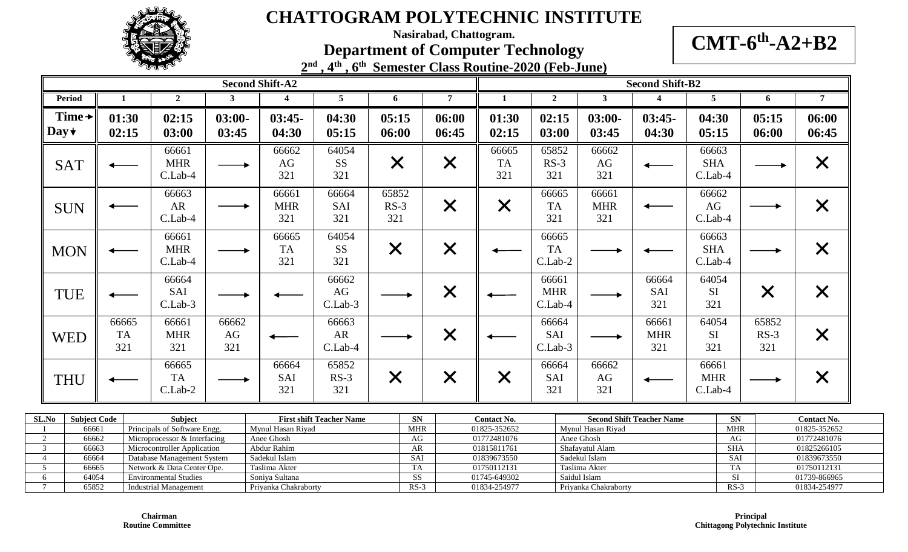

**Nasirabad, Chattogram.**

**Department of Computer Technology**

**CMT-6 th -A2+B2**

|                                   |                           | <b>LATER</b>                     |                    |                            | 2nd, 4th, 6th Semester Class Routine-2020 (Feb-June) |                        |                   |                           |                                  |                            |                            |                                  |                        |                   |
|-----------------------------------|---------------------------|----------------------------------|--------------------|----------------------------|------------------------------------------------------|------------------------|-------------------|---------------------------|----------------------------------|----------------------------|----------------------------|----------------------------------|------------------------|-------------------|
|                                   |                           |                                  |                    | <b>Second Shift-A2</b>     |                                                      |                        |                   |                           |                                  |                            | <b>Second Shift-B2</b>     |                                  |                        |                   |
| <b>Period</b>                     |                           | $\overline{2}$                   | 3                  | 4                          | 5                                                    | 6                      | $\overline{7}$    |                           | $\overline{2}$                   | $\mathbf{3}$               | 4                          | 5                                | 6                      | $\overline{7}$    |
| Time $\rightarrow$<br>Day $\star$ | 01:30<br>02:15            | 02:15<br>03:00                   | $03:00-$<br>03:45  | $03:45-$<br>04:30          | 04:30<br>05:15                                       | 05:15<br>06:00         | 06:00<br>06:45    | 01:30<br>02:15            | 02:15<br>03:00                   | $03:00-$<br>03:45          | $03:45-$<br>04:30          | 04:30<br>05:15                   | 05:15<br>06:00         | 06:00<br>06:45    |
| <b>SAT</b>                        |                           | 66661<br><b>MHR</b><br>$C.Lab-4$ |                    | 66662<br>AG<br>321         | 64054<br><b>SS</b><br>321                            | $\times$               | $\times$          | 66665<br><b>TA</b><br>321 | 65852<br>$RS-3$<br>321           | 66662<br>AG<br>321         |                            | 66663<br><b>SHA</b><br>$C.Lab-4$ |                        | $\bm{\times}$     |
| <b>SUN</b>                        |                           | 66663<br>AR<br>$C.Lab-4$         |                    | 66661<br><b>MHR</b><br>321 | 66664<br>SAI<br>321                                  | 65852<br>$RS-3$<br>321 | $\times$          | $\bm{\mathsf{X}}$         | 66665<br><b>TA</b><br>321        | 66661<br><b>MHR</b><br>321 |                            | 66662<br>AG<br>$C.Lab-4$         |                        | $\bm{\mathsf{X}}$ |
| <b>MON</b>                        |                           | 66661<br><b>MHR</b><br>$C.Lab-4$ |                    | 66665<br><b>TA</b><br>321  | 64054<br><b>SS</b><br>321                            | $\times$               | $\times$          |                           | 66665<br><b>TA</b><br>$C.Lab-2$  |                            |                            | 66663<br><b>SHA</b><br>$C.Lab-4$ |                        | $\bm{\mathsf{X}}$ |
| <b>TUE</b>                        |                           | 66664<br>SAI<br>$C.Lab-3$        |                    |                            | 66662<br>AG<br>$C.Lab-3$                             |                        | $\times$          |                           | 66661<br><b>MHR</b><br>$C.Lab-4$ |                            | 66664<br>SAI<br>321        | 64054<br>SI<br>321               | $\bm{\times}$          |                   |
| <b>WED</b>                        | 66665<br><b>TA</b><br>321 | 66661<br><b>MHR</b><br>321       | 66662<br>AG<br>321 |                            | 66663<br><b>AR</b><br>C.Lab-4                        |                        | $\times$          |                           | 66664<br>SAI<br>$C.Lab-3$        |                            | 66661<br><b>MHR</b><br>321 | 64054<br>SI<br>321               | 65852<br>$RS-3$<br>321 | $\bm{\mathsf{X}}$ |
| <b>THU</b>                        |                           | 66665<br><b>TA</b><br>C.Lab-2    |                    | 66664<br>SAI<br>321        | 65852<br>$RS-3$<br>321                               | $\bm{\mathsf{X}}$      | $\bm{\mathsf{X}}$ |                           | 66664<br>SAI<br>321              | 66662<br>AG<br>321         |                            | 66661<br><b>MHR</b><br>C.Lab-4   |                        |                   |

| SL.No | <b>Subject Code</b> | Subject                      | <b>First shift Teacher Name</b> | <b>SN</b>  | <b>Contact No.</b> | <b>Second Shift Teacher Name</b> | SN         | <b>Contact No.</b> |
|-------|---------------------|------------------------------|---------------------------------|------------|--------------------|----------------------------------|------------|--------------------|
|       | 66661               | Principals of Software Engg. | Mynul Hasan Riyad               | <b>MHR</b> | 01825-352652       | Mynul Hasan Rivad                | <b>MHR</b> | 01825-352652       |
|       | 66662               | Microprocessor & Interfacing | Anee Ghosh                      | AG         | 01772481076        | Anee Ghosh                       | AG         | 01772481076        |
|       | 66663               | Microcontroller Application  | Abdur Rahim                     | AR         | 01815811761        | Shafayatul Alam                  | <b>SHA</b> | 01825266105        |
|       | 66664               | Database Management System   | Sadekul Islam                   | <b>SAI</b> | 01839673550        | Sadekul Islam                    | <b>SAI</b> | 01839673550        |
|       | 66665               | Network & Data Center Ope.   | Taslima Akter                   | TA         | 01750112131        | Taslima Akter                    | TA         | 01750112131        |
|       | 64054               | <b>Environmental Studies</b> | Soniya Sultana                  | SS         | 01745-649302       | Saidul Islam                     | SI.        | 01739-866965       |
|       | 65852               | Industrial Management        | Priyanka Chakraborty            | $RS-3$     | 01834-254977       | Priyanka Chakraborty             | $RS-3$     | 01834-254977       |